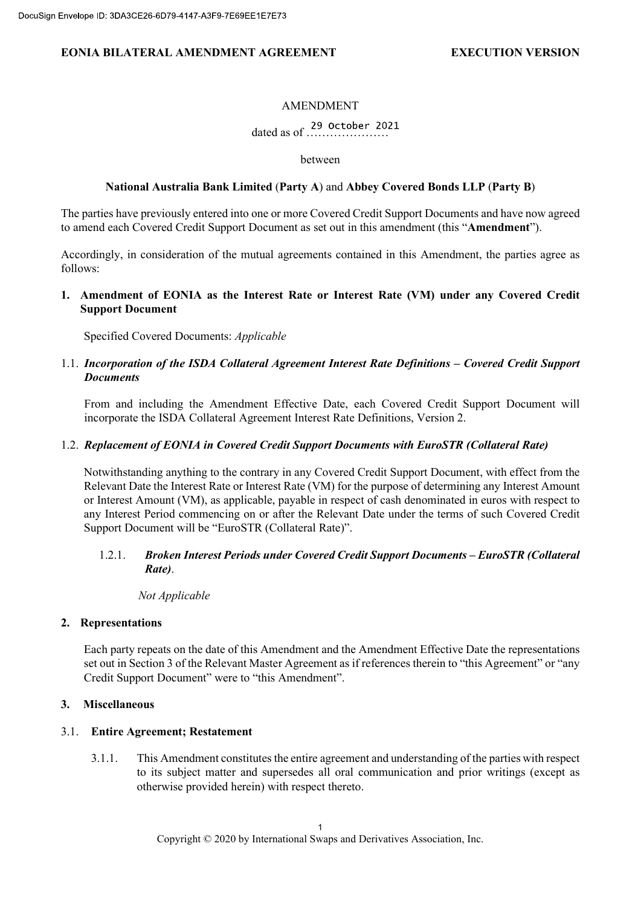## EONIA BILATERAL AMENDMENT AGREEMENT FOR THE EXECUTION VERSION

## AMENDMENT

dated as of …………………

between

## National Australia Bank Limited (Party A) and Abbey Covered Bonds LLP (Party B)

The parties have previously entered into one or more Covered Credit Support Documents and have now agreed to amend each Covered Credit Support Document as set out in this amendment (this "Amendment").

Accordingly, in consideration of the mutual agreements contained in this Amendment, the parties agree as follows:

1. Amendment of EONIA as the Interest Rate or Interest Rate (VM) under any Covered Credit Support Document

Specified Covered Documents: Applicable

## 1.1. Incorporation of the ISDA Collateral Agreement Interest Rate Definitions – Covered Credit Support **Documents**

From and including the Amendment Effective Date, each Covered Credit Support Document will incorporate the ISDA Collateral Agreement Interest Rate Definitions, Version 2.

## 1.2. Replacement of EONIA in Covered Credit Support Documents with EuroSTR (Collateral Rate)

Notwithstanding anything to the contrary in any Covered Credit Support Document, with effect from the Relevant Date the Interest Rate or Interest Rate (VM) for the purpose of determining any Interest Amount or Interest Amount (VM), as applicable, payable in respect of cash denominated in euros with respect to any Interest Period commencing on or after the Relevant Date under the terms of such Covered Credit Support Document will be "EuroSTR (Collateral Rate)".

## 1.2.1. Broken Interest Periods under Covered Credit Support Documents – EuroSTR (Collateral Rate).

## Not Applicable

## 2. Representations

Each party repeats on the date of this Amendment and the Amendment Effective Date the representations set out in Section 3 of the Relevant Master Agreement as if references therein to "this Agreement" or "any Credit Support Document" were to "this Amendment".

## 3. Miscellaneous

## 3.1. Entire Agreement; Restatement

3.1.1. This Amendment constitutes the entire agreement and understanding of the parties with respect to its subject matter and supersedes all oral communication and prior writings (except as otherwise provided herein) with respect thereto.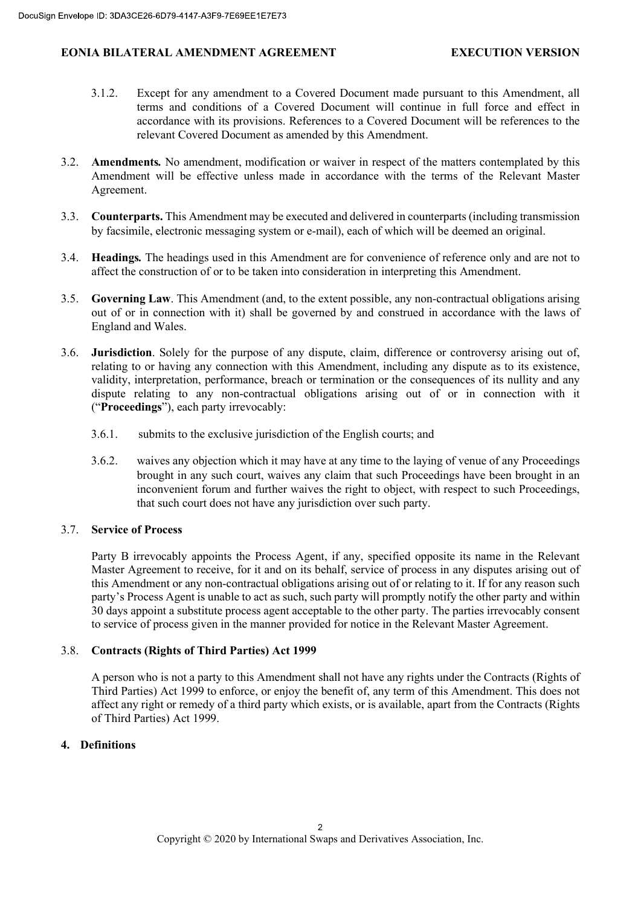## EONIA BILATERAL AMENDMENT AGREEMENT FOR THE EXECUTION VERSION

- 3.1.2. Except for any amendment to a Covered Document made pursuant to this Amendment, all terms and conditions of a Covered Document will continue in full force and effect in accordance with its provisions. References to a Covered Document will be references to the relevant Covered Document as amended by this Amendment.
- 3.2. Amendments. No amendment, modification or waiver in respect of the matters contemplated by this Amendment will be effective unless made in accordance with the terms of the Relevant Master Agreement.
- 3.3. Counterparts. This Amendment may be executed and delivered in counterparts (including transmission by facsimile, electronic messaging system or e-mail), each of which will be deemed an original.
- 3.4. Headings. The headings used in this Amendment are for convenience of reference only and are not to affect the construction of or to be taken into consideration in interpreting this Amendment.
- 3.5. Governing Law. This Amendment (and, to the extent possible, any non-contractual obligations arising out of or in connection with it) shall be governed by and construed in accordance with the laws of England and Wales.
- 3.6. Jurisdiction. Solely for the purpose of any dispute, claim, difference or controversy arising out of, relating to or having any connection with this Amendment, including any dispute as to its existence, validity, interpretation, performance, breach or termination or the consequences of its nullity and any dispute relating to any non-contractual obligations arising out of or in connection with it ("Proceedings"), each party irrevocably:
	- 3.6.1. submits to the exclusive jurisdiction of the English courts; and
	- 3.6.2. waives any objection which it may have at any time to the laying of venue of any Proceedings brought in any such court, waives any claim that such Proceedings have been brought in an inconvenient forum and further waives the right to object, with respect to such Proceedings, that such court does not have any jurisdiction over such party.

## 3.7. Service of Process

Party B irrevocably appoints the Process Agent, if any, specified opposite its name in the Relevant Master Agreement to receive, for it and on its behalf, service of process in any disputes arising out of this Amendment or any non-contractual obligations arising out of or relating to it. If for any reason such party's Process Agent is unable to act as such, such party will promptly notify the other party and within 30 days appoint a substitute process agent acceptable to the other party. The parties irrevocably consent to service of process given in the manner provided for notice in the Relevant Master Agreement.

## 3.8. Contracts (Rights of Third Parties) Act 1999

A person who is not a party to this Amendment shall not have any rights under the Contracts (Rights of Third Parties) Act 1999 to enforce, or enjoy the benefit of, any term of this Amendment. This does not affect any right or remedy of a third party which exists, or is available, apart from the Contracts (Rights of Third Parties) Act 1999.

## 4. Definitions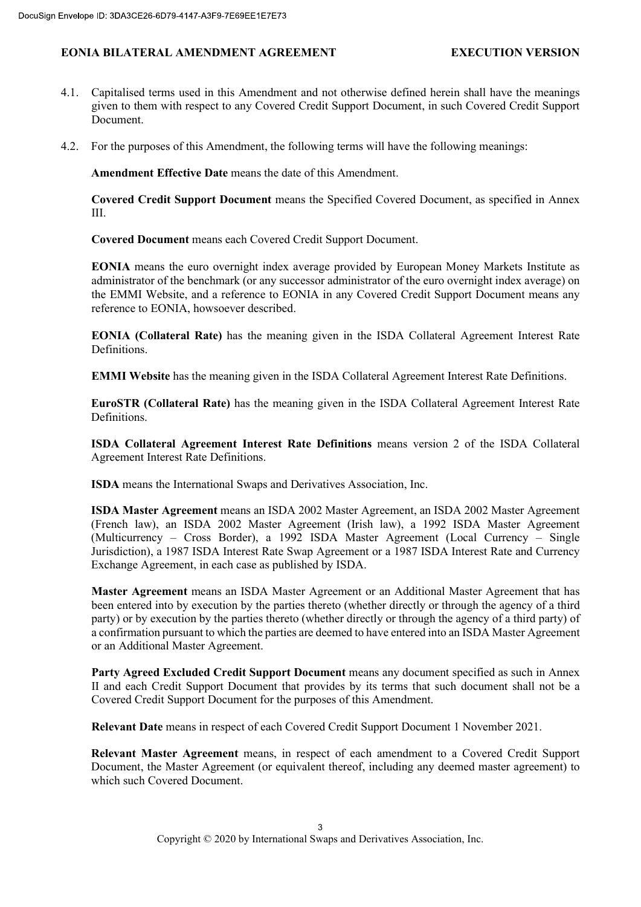## EONIA BILATERAL AMENDMENT AGREEMENT FOR THE EXECUTION VERSION

- 4.1. Capitalised terms used in this Amendment and not otherwise defined herein shall have the meanings given to them with respect to any Covered Credit Support Document, in such Covered Credit Support Document.
- 4.2. For the purposes of this Amendment, the following terms will have the following meanings:

Amendment Effective Date means the date of this Amendment.

Covered Credit Support Document means the Specified Covered Document, as specified in Annex III.

Covered Document means each Covered Credit Support Document.

EONIA means the euro overnight index average provided by European Money Markets Institute as administrator of the benchmark (or any successor administrator of the euro overnight index average) on the EMMI Website, and a reference to EONIA in any Covered Credit Support Document means any reference to EONIA, howsoever described.

EONIA (Collateral Rate) has the meaning given in the ISDA Collateral Agreement Interest Rate Definitions.

EMMI Website has the meaning given in the ISDA Collateral Agreement Interest Rate Definitions.

EuroSTR (Collateral Rate) has the meaning given in the ISDA Collateral Agreement Interest Rate Definitions.

ISDA Collateral Agreement Interest Rate Definitions means version 2 of the ISDA Collateral Agreement Interest Rate Definitions.

ISDA means the International Swaps and Derivatives Association, Inc.

ISDA Master Agreement means an ISDA 2002 Master Agreement, an ISDA 2002 Master Agreement (French law), an ISDA 2002 Master Agreement (Irish law), a 1992 ISDA Master Agreement (Multicurrency – Cross Border), a 1992 ISDA Master Agreement (Local Currency – Single Jurisdiction), a 1987 ISDA Interest Rate Swap Agreement or a 1987 ISDA Interest Rate and Currency Exchange Agreement, in each case as published by ISDA.

Master Agreement means an ISDA Master Agreement or an Additional Master Agreement that has been entered into by execution by the parties thereto (whether directly or through the agency of a third party) or by execution by the parties thereto (whether directly or through the agency of a third party) of a confirmation pursuant to which the parties are deemed to have entered into an ISDA Master Agreement or an Additional Master Agreement.

Party Agreed Excluded Credit Support Document means any document specified as such in Annex II and each Credit Support Document that provides by its terms that such document shall not be a Covered Credit Support Document for the purposes of this Amendment.

Relevant Date means in respect of each Covered Credit Support Document 1 November 2021.

Relevant Master Agreement means, in respect of each amendment to a Covered Credit Support Document, the Master Agreement (or equivalent thereof, including any deemed master agreement) to which such Covered Document.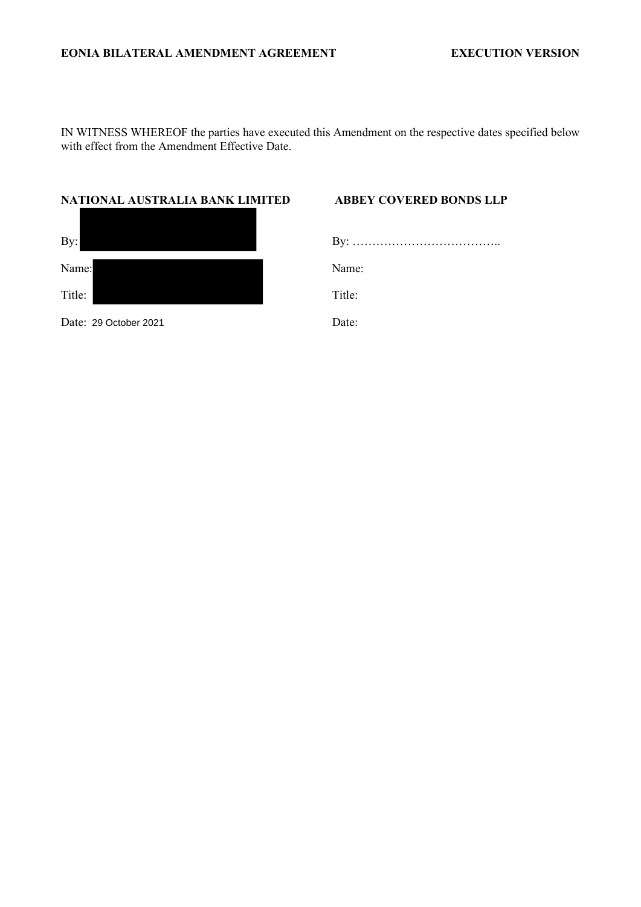IN WITNESS WHEREOF the parties have executed this Amendment on the respective dates specified below with effect from the Amendment Effective Date.

## **NATIONAL AUSTRALIA BANK LIMITED ABBEY COVERED BONDS LLP**

| By:   |       |
|-------|-------|
| Name: | Name: |

Date: 29 October 2021 **Date:** Date:

Title: Title: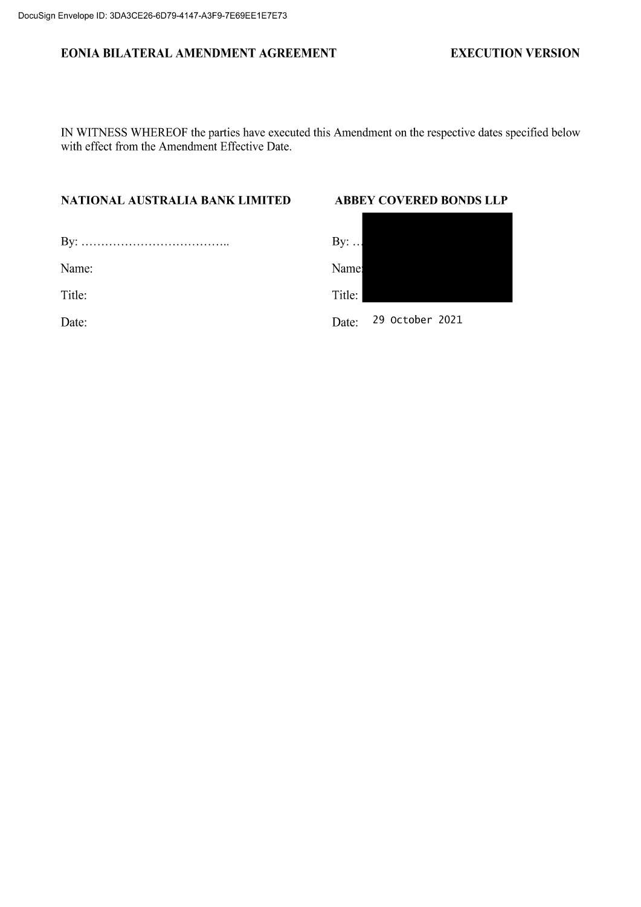# EONIA BILATERAL AMENDMENT AGREEMENT

## **EXECUTION VERSION**

IN WITNESS WHEREOF the parties have executed this Amendment on the respective dates specified below with effect from the Amendment Effective Date.

# NATIONAL AUSTRALIA BANK LIMITED

| Name:  |  |
|--------|--|
| Title: |  |
| Date:  |  |
|        |  |

# **ABBEY COVERED BONDS LLP**

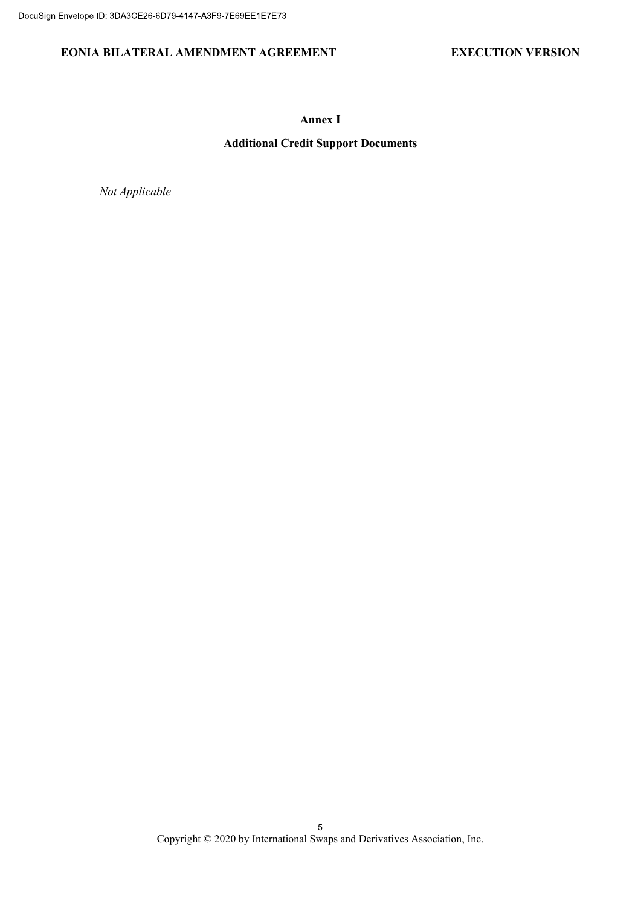## EONIA BILATERAL AMENDMENT AGREEMENT EXECUTION VERSION

Annex I

# Additional Credit Support Documents

Not Applicable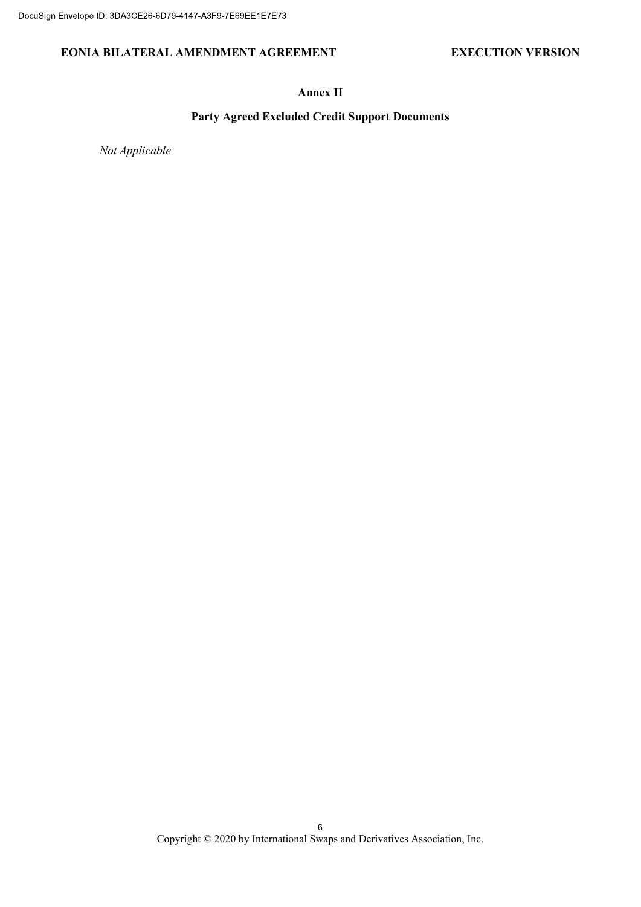## EONIA BILATERAL AMENDMENT AGREEMENT EXECUTION VERSION

## Annex II

## Party Agreed Excluded Credit Support Documents

Not Applicable